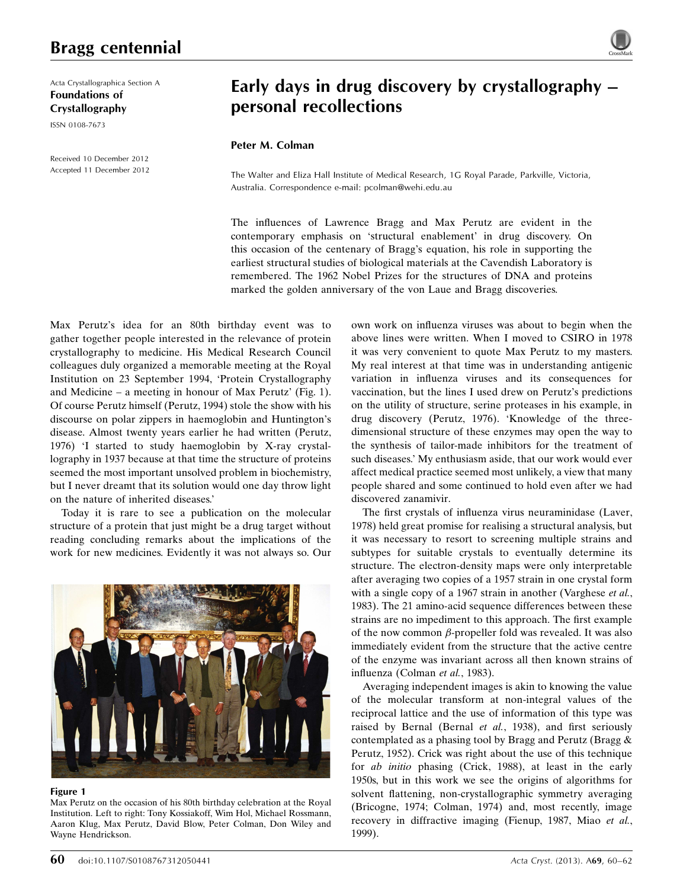Acta Crystallographica Section A Foundations of Crystallography ISSN 0108-7673

Received 10 December 2012 Accepted 11 December 2012

# Early days in drug discovery by crystallography – personal recollections

## Peter M. Colman

The Walter and Eliza Hall Institute of Medical Research, 1G Royal Parade, Parkville, Victoria, Australia. Correspondence e-mail: [pcolman@wehi.edu.au](http://scripts.iucr.org/cgi-bin/cr.cgi?rm=pdfbb&cnor=wl0019&bbid=BB23)

The influences of Lawrence Bragg and Max Perutz are evident in the contemporary emphasis on 'structural enablement' in drug discovery. On this occasion of the centenary of Bragg's equation, his role in supporting the earliest structural studies of biological materials at the Cavendish Laboratory is remembered. The 1962 Nobel Prizes for the structures of DNA and proteins marked the golden anniversary of the von Laue and Bragg discoveries.

Max Perutz's idea for an 80th birthday event was to gather together people interested in the relevance of protein crystallography to medicine. His Medical Research Council colleagues duly organized a memorable meeting at the Royal Institution on 23 September 1994, 'Protein Crystallography and Medicine – a meeting in honour of Max Perutz' (Fig. 1). Of course Perutz himself (Perutz, 1994) stole the show with his discourse on polar zippers in haemoglobin and Huntington's disease. Almost twenty years earlier he had written (Perutz, 1976) 'I started to study haemoglobin by X-ray crystallography in 1937 because at that time the structure of proteins seemed the most important unsolved problem in biochemistry, but I never dreamt that its solution would one day throw light on the nature of inherited diseases.'

Today it is rare to see a publication on the molecular structure of a protein that just might be a drug target without reading concluding remarks about the implications of the work for new medicines. Evidently it was not always so. Our



#### Figure 1

Max Perutz on the occasion of his 80th birthday celebration at the Royal Institution. Left to right: Tony Kossiakoff, Wim Hol, Michael Rossmann, Aaron Klug, Max Perutz, David Blow, Peter Colman, Don Wiley and Wayne Hendrickson.

own work on influenza viruses was about to begin when the above lines were written. When I moved to CSIRO in 1978 it was very convenient to quote Max Perutz to my masters. My real interest at that time was in understanding antigenic variation in influenza viruses and its consequences for vaccination, but the lines I used drew on Perutz's predictions on the utility of structure, serine proteases in his example, in drug discovery (Perutz, 1976). 'Knowledge of the threedimensional structure of these enzymes may open the way to the synthesis of tailor-made inhibitors for the treatment of such diseases.' My enthusiasm aside, that our work would ever affect medical practice seemed most unlikely, a view that many people shared and some continued to hold even after we had discovered zanamivir.

The first crystals of influenza virus neuraminidase (Laver, 1978) held great promise for realising a structural analysis, but it was necessary to resort to screening multiple strains and subtypes for suitable crystals to eventually determine its structure. The electron-density maps were only interpretable after averaging two copies of a 1957 strain in one crystal form with a single copy of a 1967 strain in another (Varghese et al., 1983). The 21 amino-acid sequence differences between these strains are no impediment to this approach. The first example of the now common  $\beta$ -propeller fold was revealed. It was also immediately evident from the structure that the active centre of the enzyme was invariant across all then known strains of influenza (Colman et al., 1983).

Averaging independent images is akin to knowing the value of the molecular transform at non-integral values of the reciprocal lattice and the use of information of this type was raised by Bernal (Bernal et al., 1938), and first seriously contemplated as a phasing tool by Bragg and Perutz (Bragg & Perutz, 1952). Crick was right about the use of this technique for ab initio phasing (Crick, 1988), at least in the early 1950s, but in this work we see the origins of algorithms for solvent flattening, non-crystallographic symmetry averaging (Bricogne, 1974; Colman, 1974) and, most recently, image recovery in diffractive imaging (Fienup, 1987, Miao et al., 1999).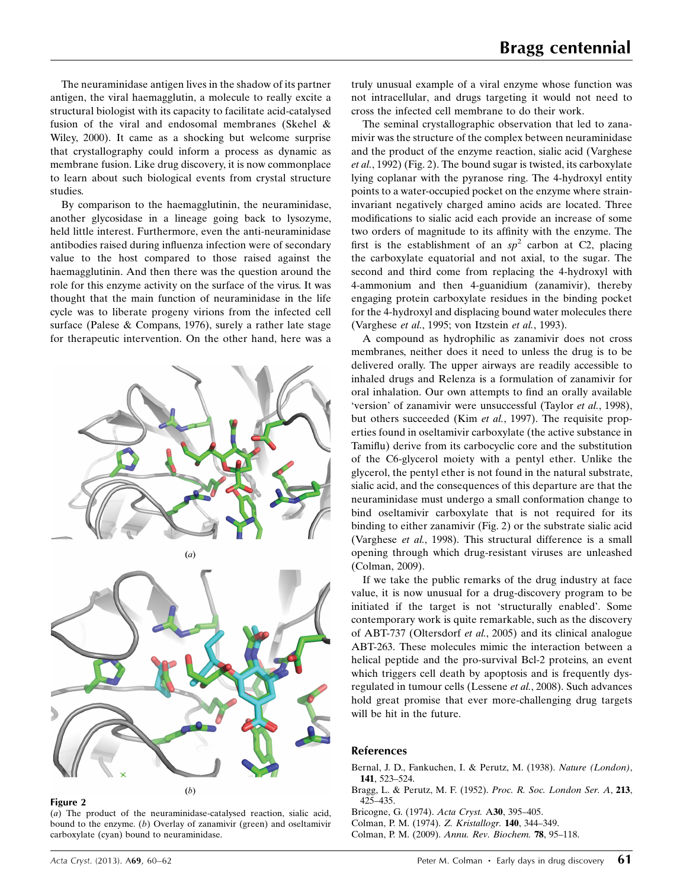The neuraminidase antigen lives in the shadow of its partner antigen, the viral haemagglutin, a molecule to really excite a structural biologist with its capacity to facilitate acid-catalysed fusion of the viral and endosomal membranes (Skehel & Wiley, 2000). It came as a shocking but welcome surprise that crystallography could inform a process as dynamic as membrane fusion. Like drug discovery, it is now commonplace to learn about such biological events from crystal structure studies.

By comparison to the haemagglutinin, the neuraminidase, another glycosidase in a lineage going back to lysozyme, held little interest. Furthermore, even the anti-neuraminidase antibodies raised during influenza infection were of secondary value to the host compared to those raised against the haemagglutinin. And then there was the question around the role for this enzyme activity on the surface of the virus. It was thought that the main function of neuraminidase in the life cycle was to liberate progeny virions from the infected cell surface (Palese & Compans, 1976), surely a rather late stage for therapeutic intervention. On the other hand, here was a



#### Figure 2

(a) The product of the neuraminidase-catalysed reaction, sialic acid, bound to the enzyme. (b) Overlay of zanamivir (green) and oseltamivir carboxylate (cyan) bound to neuraminidase.

truly unusual example of a viral enzyme whose function was not intracellular, and drugs targeting it would not need to cross the infected cell membrane to do their work.

The seminal crystallographic observation that led to zanamivir was the structure of the complex between neuraminidase and the product of the enzyme reaction, sialic acid (Varghese et al., 1992) (Fig. 2). The bound sugar is twisted, its carboxylate lying coplanar with the pyranose ring. The 4-hydroxyl entity points to a water-occupied pocket on the enzyme where straininvariant negatively charged amino acids are located. Three modifications to sialic acid each provide an increase of some two orders of magnitude to its affinity with the enzyme. The first is the establishment of an  $sp^2$  carbon at C2, placing the carboxylate equatorial and not axial, to the sugar. The second and third come from replacing the 4-hydroxyl with 4-ammonium and then 4-guanidium (zanamivir), thereby engaging protein carboxylate residues in the binding pocket for the 4-hydroxyl and displacing bound water molecules there (Varghese et al., 1995; von Itzstein et al., 1993).

A compound as hydrophilic as zanamivir does not cross membranes, neither does it need to unless the drug is to be delivered orally. The upper airways are readily accessible to inhaled drugs and Relenza is a formulation of zanamivir for oral inhalation. Our own attempts to find an orally available 'version' of zanamivir were unsuccessful (Taylor et al., 1998), but others succeeded (Kim et al., 1997). The requisite properties found in oseltamivir carboxylate (the active substance in Tamiflu) derive from its carbocyclic core and the substitution of the C6-glycerol moiety with a pentyl ether. Unlike the glycerol, the pentyl ether is not found in the natural substrate, sialic acid, and the consequences of this departure are that the neuraminidase must undergo a small conformation change to bind oseltamivir carboxylate that is not required for its binding to either zanamivir (Fig. 2) or the substrate sialic acid (Varghese et al., 1998). This structural difference is a small opening through which drug-resistant viruses are unleashed (Colman, 2009).

If we take the public remarks of the drug industry at face value, it is now unusual for a drug-discovery program to be initiated if the target is not 'structurally enabled'. Some contemporary work is quite remarkable, such as the discovery of ABT-737 (Oltersdorf et al., 2005) and its clinical analogue ABT-263. These molecules mimic the interaction between a helical peptide and the pro-survival Bcl-2 proteins, an event which triggers cell death by apoptosis and is frequently dysregulated in tumour cells (Lessene et al., 2008). Such advances hold great promise that ever more-challenging drug targets will be hit in the future.

### References

- [Bernal, J. D., Fankuchen, I. & Perutz, M. \(1938\).](http://scripts.iucr.org/cgi-bin/cr.cgi?rm=pdfbb&cnor=wl0019&bbid=BB1) Nature (London), 141[, 523–524.](http://scripts.iucr.org/cgi-bin/cr.cgi?rm=pdfbb&cnor=wl0019&bbid=BB1)
- [Bragg, L. & Perutz, M. F. \(1952\).](http://scripts.iucr.org/cgi-bin/cr.cgi?rm=pdfbb&cnor=wl0019&bbid=BB2) Proc. R. Soc. London Ser. A, 213, [425–435.](http://scripts.iucr.org/cgi-bin/cr.cgi?rm=pdfbb&cnor=wl0019&bbid=BB2)
- [Bricogne, G. \(1974\).](http://scripts.iucr.org/cgi-bin/cr.cgi?rm=pdfbb&cnor=wl0019&bbid=BB3) Acta Cryst. A30, 395–405.
- [Colman, P. M. \(1974\).](http://scripts.iucr.org/cgi-bin/cr.cgi?rm=pdfbb&cnor=wl0019&bbid=BB4) Z. Kristallogr. 140, 344–349.
- [Colman, P. M. \(2009\).](http://scripts.iucr.org/cgi-bin/cr.cgi?rm=pdfbb&cnor=wl0019&bbid=BB5) Annu. Rev. Biochem. 78, 95–118.